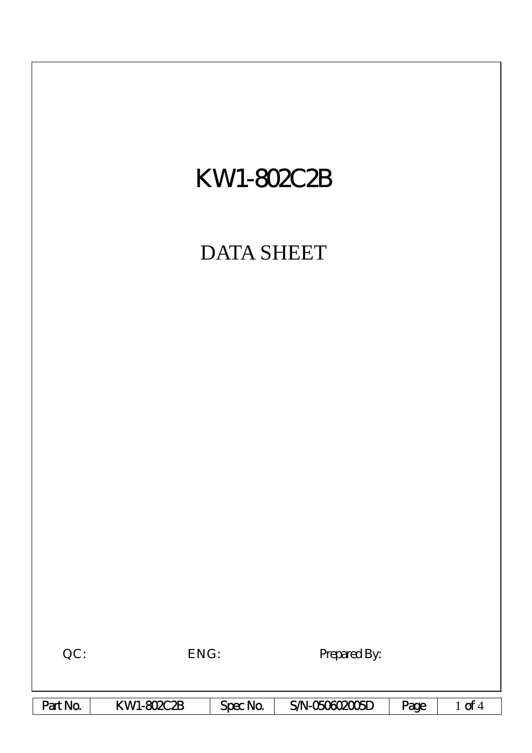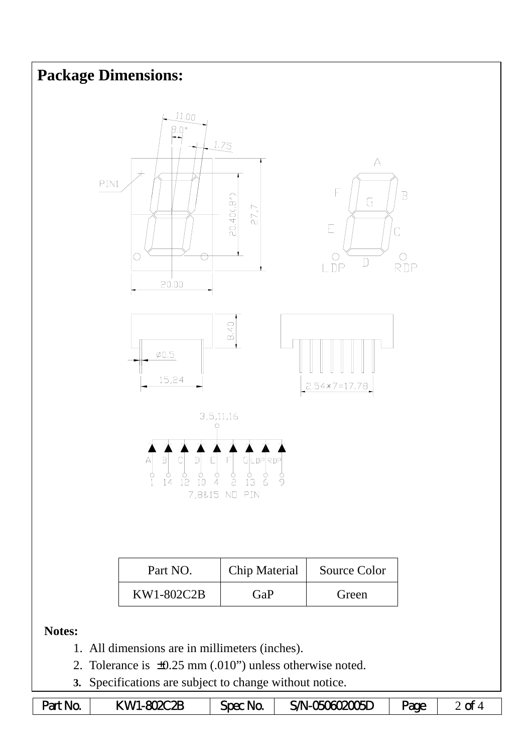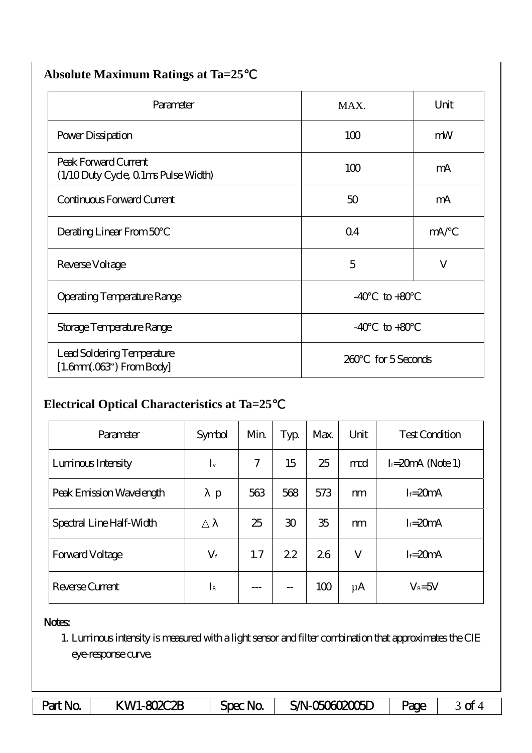| <b>Absolute Maximum Ratings at Ta=25</b>                            |                          |              |  |  |  |  |  |
|---------------------------------------------------------------------|--------------------------|--------------|--|--|--|--|--|
| Parameter                                                           | MAX.                     | Unit         |  |  |  |  |  |
| Power Dissipation                                                   | 100                      | mW           |  |  |  |  |  |
| Peak Forward Current<br>(1/10 Duty Cycle, 0 1ms Pulse Width)        | 100                      | mA           |  |  |  |  |  |
| Continuous Forward Current                                          | 50                       | mA           |  |  |  |  |  |
| Derating Linear From 50                                             | Q <sub>4</sub>           | mA/          |  |  |  |  |  |
| Reverse Voltage                                                     | 5                        | $\mathbf{V}$ |  |  |  |  |  |
| Operating Temperature Range                                         | $-40$<br>$\text{to} +80$ |              |  |  |  |  |  |
| Storage Temperature Range                                           | $to+80$<br>$-40$         |              |  |  |  |  |  |
| Lead Soldering Temperature<br>$[1.6mm.03$ <sup>"</sup> ) From Body] | for 5 Seconds<br>260     |              |  |  |  |  |  |

## **Electrical Optical Characteristics at Ta=25**℃

| Parameter                | Symbol      | Min | Typ            | Max. | Unit    | <b>Test Condition</b> |
|--------------------------|-------------|-----|----------------|------|---------|-----------------------|
| Luninous Intensity       | $I_{v}$     | 7   | 15             | 25   | md      | $I = 20$ mA (Note 1)  |
| Peak Emission Wavelength | p           | 563 | 568            | 573  | m       | $I = 20mA$            |
| Spectral Line Half-Width |             | 25  | $\mathfrak{D}$ | 35   | m       | $I = 20mA$            |
| <b>Forward Voltage</b>   | $V_{\rm f}$ | 1.7 | 22             | 26   | V       | $I = 20mA$            |
| Reverse Current          | $I_{\rm R}$ |     | --             | 100  | $\mu$ A | $V_R = 5V$            |

## Notes:

1. Luminous intensity is measured with a light sensor and filter combination that approximates the CIE eye-response curve.

| Part No. | KWI-802C2B | Spec No | SAN-060602006D | <b>age</b> | ~<br>ີ |
|----------|------------|---------|----------------|------------|--------|
|----------|------------|---------|----------------|------------|--------|